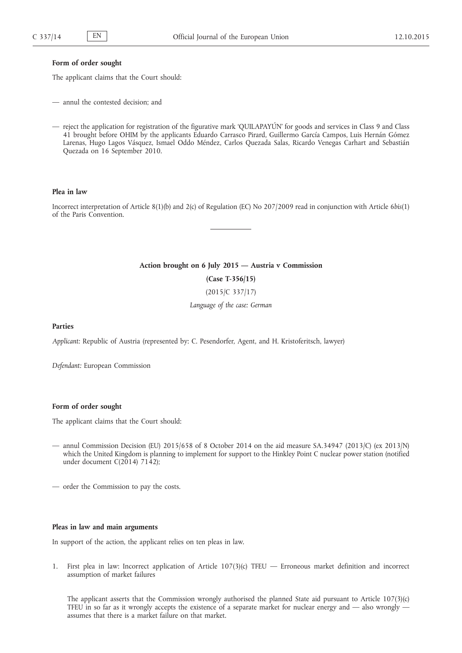#### **Form of order sought**

The applicant claims that the Court should:

- annul the contested decision; and
- reject the application for registration of the figurative mark 'QUILAPAYÚN' for goods and services in Class 9 and Class 41 brought before OHIM by the applicants Eduardo Carrasco Pirard, Guillermo García Campos, Luis Hernán Gómez Larenas, Hugo Lagos Vásquez, Ismael Oddo Méndez, Carlos Quezada Salas, Ricardo Venegas Carhart and Sebastián Quezada on 16 September 2010.

## **Plea in law**

Incorrect interpretation of Article 8(1)(b) and 2(c) of Regulation (EC) No 207/2009 read in conjunction with Article 6*bis*(1) of the Paris Convention.

# **Action brought on 6 July 2015 — Austria v Commission**

**(Case T-356/15)**

(2015/C 337/17)

*Language of the case: German*

## **Parties**

*Applicant:* Republic of Austria (represented by: C. Pesendorfer, Agent, and H. Kristoferitsch, lawyer)

*Defendant:* European Commission

## **Form of order sought**

The applicant claims that the Court should:

- annul Commission Decision (EU) 2015/658 of 8 October 2014 on the aid measure SA.34947 (2013/C) (ex 2013/N) which the United Kingdom is planning to implement for support to the Hinkley Point C nuclear power station (notified under document C(2014) 7142);
- order the Commission to pay the costs.

#### **Pleas in law and main arguments**

In support of the action, the applicant relies on ten pleas in law.

1. First plea in law: Incorrect application of Article 107(3)(c) TFEU — Erroneous market definition and incorrect assumption of market failures

The applicant asserts that the Commission wrongly authorised the planned State aid pursuant to Article  $107(3)(c)$ TFEU in so far as it wrongly accepts the existence of a separate market for nuclear energy and — also wrongly assumes that there is a market failure on that market.